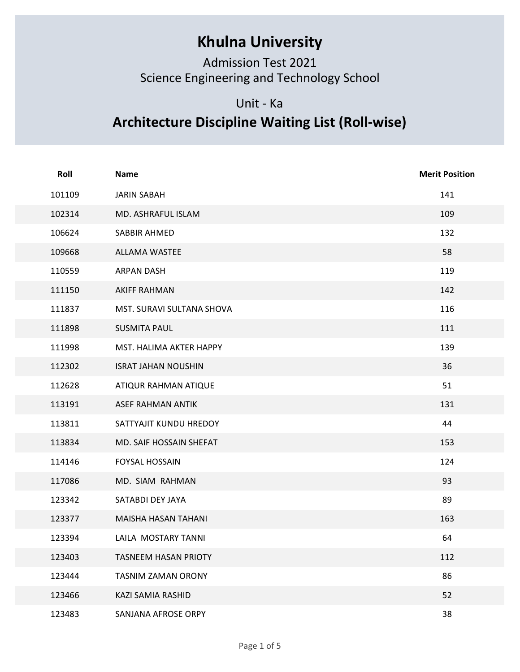## Khulna University

## Unit - Ka

## Architecture Discipline Waiting List (Roll-wise)

|        | <b>Khulna University</b><br><b>Admission Test 2021</b><br>Science Engineering and Technology School |                       |
|--------|-----------------------------------------------------------------------------------------------------|-----------------------|
|        | Unit - Ka<br><b>Architecture Discipline Waiting List (Roll-wise)</b>                                |                       |
|        |                                                                                                     |                       |
| Roll   | <b>Name</b>                                                                                         | <b>Merit Position</b> |
| 101109 | <b>JARIN SABAH</b>                                                                                  | 141                   |
| 102314 | MD. ASHRAFUL ISLAM                                                                                  | 109                   |
| 106624 | SABBIR AHMED                                                                                        | 132                   |
| 109668 | ALLAMA WASTEE                                                                                       | 58                    |
| 110559 | <b>ARPAN DASH</b>                                                                                   | 119                   |
| 111150 | <b>AKIFF RAHMAN</b>                                                                                 | 142                   |
| 111837 | MST. SURAVI SULTANA SHOVA                                                                           | 116                   |
| 111898 | <b>SUSMITA PAUL</b>                                                                                 | 111                   |
| 111998 | MST. HALIMA AKTER HAPPY                                                                             | 139                   |
| 112302 | <b>ISRAT JAHAN NOUSHIN</b>                                                                          | 36                    |
| 112628 | ATIQUR RAHMAN ATIQUE                                                                                | 51                    |
| 113191 | ASEF RAHMAN ANTIK                                                                                   | 131                   |
| 113811 | SATTYAJIT KUNDU HREDOY                                                                              | 44                    |
| 113834 | MD. SAIF HOSSAIN SHEFAT                                                                             | 153                   |
| 114146 | FOYSAL HOSSAIN                                                                                      | 124                   |
| 117086 | MD. SIAM RAHMAN                                                                                     | 93                    |
| 123342 | SATABDI DEY JAYA                                                                                    | 89                    |
| 123377 | MAISHA HASAN TAHANI                                                                                 | 163                   |
| 123394 | LAILA MOSTARY TANNI                                                                                 | 64                    |
| 123403 | TASNEEM HASAN PRIOTY                                                                                | 112                   |
| 123444 | TASNIM ZAMAN ORONY                                                                                  | 86                    |
| 123466 | KAZI SAMIA RASHID                                                                                   | 52                    |
| 123483 | SANJANA AFROSE ORPY                                                                                 | 38                    |
|        | Page 1 of 5                                                                                         |                       |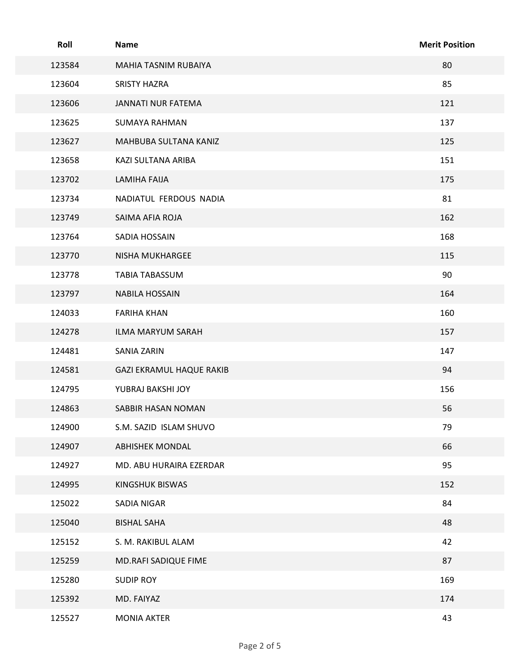| Roll   | Name                            | <b>Merit Position</b> |
|--------|---------------------------------|-----------------------|
| 123584 | MAHIA TASNIM RUBAIYA            | 80                    |
| 123604 | SRISTY HAZRA                    | 85                    |
| 123606 | JANNATI NUR FATEMA              | 121                   |
| 123625 | <b>SUMAYA RAHMAN</b>            | 137                   |
| 123627 | MAHBUBA SULTANA KANIZ           | 125                   |
| 123658 | KAZI SULTANA ARIBA              | 151                   |
| 123702 | <b>LAMIHA FAIJA</b>             | 175                   |
| 123734 | NADIATUL FERDOUS NADIA          | 81                    |
| 123749 | SAIMA AFIA ROJA                 | 162                   |
| 123764 | SADIA HOSSAIN                   | 168                   |
| 123770 | NISHA MUKHARGEE                 | 115                   |
| 123778 | TABIA TABASSUM                  | 90                    |
| 123797 | <b>NABILA HOSSAIN</b>           | 164                   |
| 124033 | <b>FARIHA KHAN</b>              | 160                   |
| 124278 | ILMA MARYUM SARAH               | 157                   |
| 124481 | <b>SANIA ZARIN</b>              | 147                   |
| 124581 | <b>GAZI EKRAMUL HAQUE RAKIB</b> | 94                    |
| 124795 | YUBRAJ BAKSHI JOY               | 156                   |
| 124863 | SABBIR HASAN NOMAN              | 56                    |
| 124900 | S.M. SAZID ISLAM SHUVO          | 79                    |
| 124907 | <b>ABHISHEK MONDAL</b>          | 66                    |
| 124927 | MD. ABU HURAIRA EZERDAR         | 95                    |
| 124995 | <b>KINGSHUK BISWAS</b>          | 152                   |
| 125022 | SADIA NIGAR                     | 84                    |
| 125040 | <b>BISHAL SAHA</b>              | 48                    |
| 125152 | S. M. RAKIBUL ALAM              | 42                    |
| 125259 | MD.RAFI SADIQUE FIME            | 87                    |
| 125280 | <b>SUDIP ROY</b>                | 169                   |
| 125392 | MD. FAIYAZ                      | 174                   |
| 125527 | <b>MONIA AKTER</b>              | 43                    |
|        | Page 2 of 5                     |                       |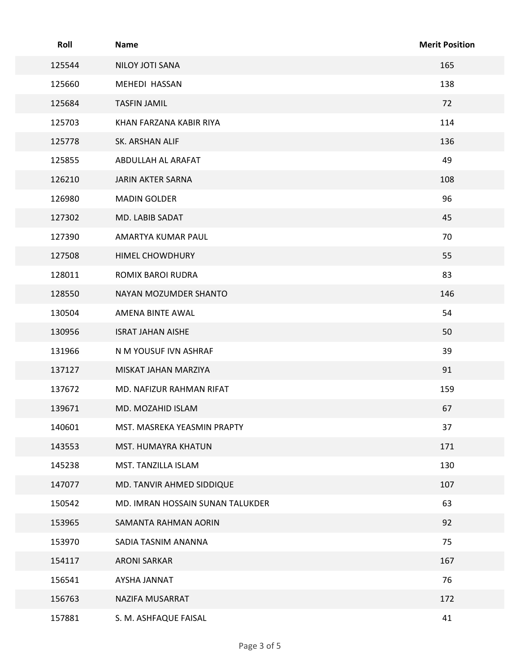| Roll   | <b>Name</b>                      | <b>Merit Position</b> |
|--------|----------------------------------|-----------------------|
| 125544 | NILOY JOTI SANA                  | 165                   |
| 125660 | MEHEDI HASSAN                    | 138                   |
| 125684 | <b>TASFIN JAMIL</b>              | 72                    |
| 125703 | KHAN FARZANA KABIR RIYA          | 114                   |
| 125778 | SK. ARSHAN ALIF                  | 136                   |
| 125855 | ABDULLAH AL ARAFAT               | 49                    |
| 126210 | JARIN AKTER SARNA                | 108                   |
| 126980 | <b>MADIN GOLDER</b>              | 96                    |
| 127302 | MD. LABIB SADAT                  | 45                    |
| 127390 | AMARTYA KUMAR PAUL               | 70                    |
| 127508 | HIMEL CHOWDHURY                  | 55                    |
| 128011 | ROMIX BAROI RUDRA                | 83                    |
| 128550 | NAYAN MOZUMDER SHANTO            | 146                   |
| 130504 | AMENA BINTE AWAL                 | 54                    |
| 130956 | <b>ISRAT JAHAN AISHE</b>         | 50                    |
| 131966 | N M YOUSUF IVN ASHRAF            | 39                    |
| 137127 | MISKAT JAHAN MARZIYA             | 91                    |
| 137672 | MD. NAFIZUR RAHMAN RIFAT         | 159                   |
| 139671 | MD. MOZAHID ISLAM                | 67                    |
| 140601 | MST. MASREKA YEASMIN PRAPTY      | 37                    |
| 143553 | MST. HUMAYRA KHATUN              | 171                   |
| 145238 | MST. TANZILLA ISLAM              | 130                   |
| 147077 | MD. TANVIR AHMED SIDDIQUE        | 107                   |
| 150542 | MD. IMRAN HOSSAIN SUNAN TALUKDER | 63                    |
| 153965 | SAMANTA RAHMAN AORIN             | 92                    |
| 153970 | SADIA TASNIM ANANNA              | 75                    |
| 154117 | ARONI SARKAR                     | 167                   |
| 156541 | AYSHA JANNAT                     | 76                    |
| 156763 | NAZIFA MUSARRAT                  | 172                   |
| 157881 | S. M. ASHFAQUE FAISAL            | 41                    |
|        | Page 3 of 5                      |                       |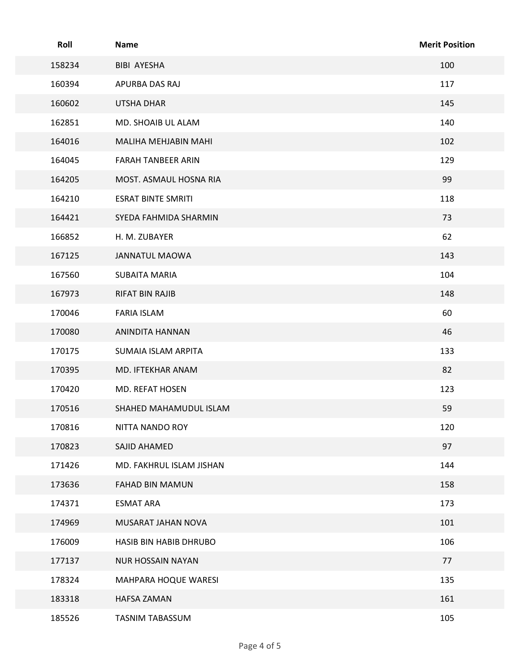| Roll   | Name                      | <b>Merit Position</b> |
|--------|---------------------------|-----------------------|
| 158234 | BIBI AYESHA               | 100                   |
| 160394 | APURBA DAS RAJ            | 117                   |
| 160602 | UTSHA DHAR                | 145                   |
| 162851 | MD. SHOAIB UL ALAM        | 140                   |
| 164016 | MALIHA MEHJABIN MAHI      | 102                   |
| 164045 | <b>FARAH TANBEER ARIN</b> | 129                   |
| 164205 | MOST. ASMAUL HOSNA RIA    | 99                    |
| 164210 | <b>ESRAT BINTE SMRITI</b> | 118                   |
| 164421 | SYEDA FAHMIDA SHARMIN     | 73                    |
| 166852 | H. M. ZUBAYER             | 62                    |
| 167125 | JANNATUL MAOWA            | 143                   |
| 167560 | <b>SUBAITA MARIA</b>      | 104                   |
| 167973 | RIFAT BIN RAJIB           | 148                   |
| 170046 | <b>FARIA ISLAM</b>        | 60                    |
| 170080 | ANINDITA HANNAN           | 46                    |
| 170175 | SUMAIA ISLAM ARPITA       | 133                   |
| 170395 | MD. IFTEKHAR ANAM         | 82                    |
| 170420 | MD. REFAT HOSEN           | 123                   |
| 170516 | SHAHED MAHAMUDUL ISLAM    | 59                    |
| 170816 | NITTA NANDO ROY           | 120                   |
| 170823 | SAJID AHAMED              | 97                    |
| 171426 | MD. FAKHRUL ISLAM JISHAN  | 144                   |
| 173636 | FAHAD BIN MAMUN           | 158                   |
| 174371 | <b>ESMAT ARA</b>          | 173                   |
| 174969 | MUSARAT JAHAN NOVA        | 101                   |
| 176009 | HASIB BIN HABIB DHRUBO    | 106                   |
| 177137 | <b>NUR HOSSAIN NAYAN</b>  | 77                    |
| 178324 | MAHPARA HOQUE WARESI      | 135                   |
| 183318 | HAFSA ZAMAN               | 161                   |
| 185526 | TASNIM TABASSUM           | 105                   |
|        | Page 4 of 5               |                       |
|        |                           |                       |